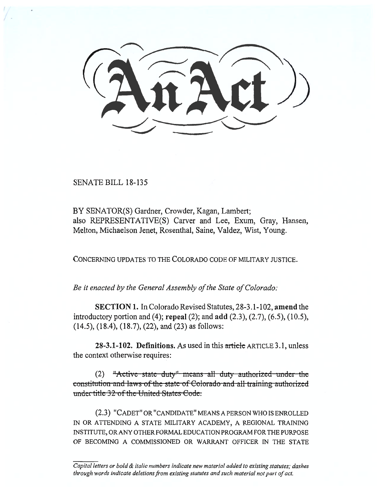SENATE BILL 18-135

BY SENATOR(S) Gardner, Crowder, Kagan, Lambert; also REPRESENTATIVE(S) Carver and Lee, Exum, Gray, Hansen, Melton, Michaelson Jenet, Rosenthal, Saine, Valdez, Wist, Young.

CONCERNING UPDATES TO THE COLORADO CODE OF MILITARY JUSTICE.

*Be it enacted by the General Assembly of the State of Colorado:* 

**SECTION 1.** In Colorado Revised Statutes, 28-3.1-102, **amend** the introductory portion and (4); **repeal** (2); and **add** (2.3), (2.7), (6.5), (10.5), (14.5), (18.4), (18.7), (22), and (23) as follows:

**28-3.1-102. Definitions.** As used in this article ARTICLE 3.1, unless the context otherwise requires:

(2) **<del>"Active-state duty" means all duty authorized under the</del>** constitution and laws of the state of Colorado and all training authorized **tunder title 32 of the United States Code.** 

(2.3) "CADET" OR "CANDIDATE" MEANS A PERSON WHO IS ENROLLED IN OR ATTENDING A STATE MILITARY ACADEMY, A REGIONAL TRAINING INSTITUTE, OR ANY OTHER FORMAL EDUCATION PROGRAM FOR THE PURPOSE OF BECOMING A COMMISSIONED OR WARRANT OFFICER IN THE STATE

*Capital letters or bold & italic numbers indicate new material added to existing statutes; dashes through words indicate deletions from existing statutes and such material not part of act.*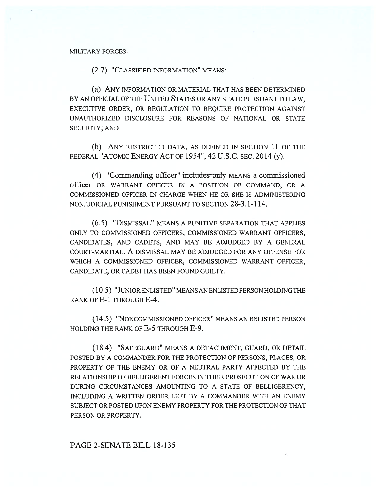#### MILITARY FORCES.

(2.7) "CLASSIFIED INFORMATION" MEANS:

(a) ANY INFORMATION OR MATERIAL THAT HAS BEEN DETERMINED BY AN OFFICIAL OF THE UNITED STATES OR ANY STATE PURSUANT TO LAW, EXECUTIVE ORDER, OR REGULATION TO REQUIRE PROTECTION AGAINST UNAUTHORIZED DISCLOSURE FOR REASONS OF NATIONAL OR STATE SECURITY; AND

(b) ANY RESTRICTED DATA, AS DEFINED IN SECTION 11 OF THE FEDERAL "ATOMIC ENERGY ACT OF 1954", 42 U.S.C. SEC. 2014 (y).

(4) "Commanding officer" includes only MEANS a commissioned officer OR WARRANT OFFICER IN A POSITION OF COMMAND, OR A COMMISSIONED OFFICER IN CHARGE WHEN HE OR SHE IS ADMINISTERING NONJUDICIAL PUNISHMENT PURSUANT TO SECTION 28-3.1-114.

(6.5) "DISMISSAL" MEANS A PUNITIVE SEPARATION THAT APPLIES ONLY TO COMMISSIONED OFFICERS, COMMISSIONED WARRANT OFFICERS, CANDIDATES, AND CADETS, AND MAY BE ADJUDGED BY A GENERAL COURT-MARTIAL. A DISMISSAL MAY BE ADJUDGED FOR ANY OFFENSE FOR WHICH A COMMISSIONED OFFICER, COMMISSIONED WARRANT OFFICER, CANDIDATE, OR CADET HAS BEEN FOUND GUILTY.

(10.5) "JUNIOR ENLISTED" MEANS AN ENLISTED PERSON HOLDING THE RANK OF E-1 THROUGH E-4.

(14.5) "NONCOMMISSIONED OFFICER" MEANS AN ENLISTED PERSON HOLDING THE RANK OF E-5 THROUGH E-9.

(18.4) "SAFEGUARD" MEANS A DETACHMENT, GUARD, OR DETAIL POSTED BY A COMMANDER FOR THE PROTECTION OF PERSONS, PLACES, OR PROPERTY OF THE ENEMY OR OF A NEUTRAL PARTY AFFECTED BY THE RELATIONSHIP OF BELLIGERENT FORCES IN THEIR PROSECUTION OF WAR OR DURING CIRCUMSTANCES AMOUNTING TO A STATE OF BELLIGERENCY, INCLUDING A WRITTEN ORDER LEFT BY A COMMANDER WITH AN ENEMY SUBJECT OR POSTED UPON ENEMY PROPERTY FOR THE PROTECTION OF THAT PERSON OR PROPERTY.

### PAGE 2-SENATE BILL 18-135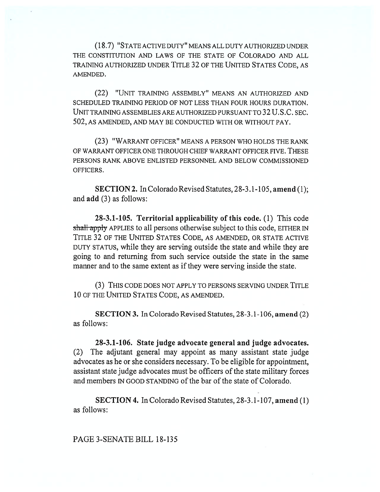(18.7) "STATE ACTIVE DUTY" MEANS ALL DUTY AUTHORIZED UNDER THE CONSTITUTION AND LAWS OF THE STATE OF COLORADO AND ALL TRAINING AUTHORIZED UNDER TITLE 32 OF THE UNITED STATES CODE, AS AMENDED.

(22) "UNIT TRAINING ASSEMBLY" MEANS AN AUTHORIZED AND SCHEDULED TRAINING PERIOD OF NOT LESS THAN FOUR HOURS DURATION. UNIT TRAINING ASSEMBLIES ARE AUTHORIZED PURSUANT TO 32 U.S.C. SEC. 502, AS AMENDED, AND MAY BE CONDUCTED WITH OR WITHOUT PAY.

(23) "WARRANT OFFICER" MEANS A PERSON WHO HOLDS THE RANK OF WARRANT OFFICER ONE THROUGH CHIEF WARRANT OFFICER FIVE. THESE PERSONS RANK ABOVE ENLISTED PERSONNEL AND BELOW COMMISSIONED OFFICERS.

**SECTION 2.** In Colorado Revised Statutes, 28-3.1-105, **amend** (1); and **add** (3) as follows:

**28-3.1-105. Territorial applicability of this code.** (1) This code shall apply APPLIES to all persons otherwise subject to this code, EITHER IN TITLE 32 OF THE UNITED STATES CODE, AS AMENDED, OR STATE ACTIVE DUTY STATUS, while they are serving outside the state and while they are going to and returning from such service outside the state in the same manner and to the same extent as if they were serving inside the state.

(3) THIS CODE DOES NOT APPLY TO PERSONS SERVING UNDER TITLE 10 OF THE UNITED STATES CODE, AS AMENDED.

**SECTION 3.** In Colorado Revised Statutes, 28-3.1-106, **amend** (2) as follows:

**28-3.1-106. State judge advocate general and judge advocates.**  (2) The adjutant general may appoint as many assistant state judge advocates as he or she considers necessary. To be eligible for appointment, assistant state judge advocates must be officers of the state military forces and members IN GOOD STANDING of the bar of the state of Colorado.

**SECTION 4.** In Colorado Revised Statutes, 28-3.1-107, **amend** (1) as follows:

PAGE 3-SENATE BILL 18-135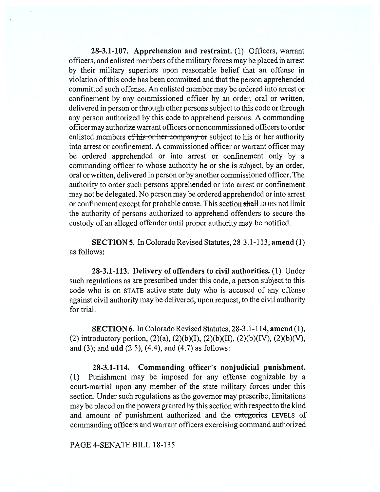**28-3.1-107. Apprehension and restraint.** (1) Officers, warrant officers, and enlisted members of the military forces may be placed in arrest by their military superiors upon reasonable belief that an offense in violation of this code has been committed and that the person apprehended committed such offense. An enlisted member may be ordered into arrest or confinement by any commissioned officer by an order, oral or written, delivered in person or through other persons subject to this code or through any person authorized by this code to apprehend persons. A commanding officer may authorize warrant officers or noncommissioned officers to order enlisted members of his or her company or subject to his or her authority into arrest or confinement. A commissioned officer or warrant officer may be ordered apprehended or into arrest or confinement only by a commanding officer to whose authority he or she is subject, by an order, oral or written, delivered in person or by another commissioned officer. The authority to order such persons apprehended or into arrest or confinement may not be delegated. No person may be ordered apprehended or into arrest or confinement except for probable cause. This section shall DOES not limit the authority of persons authorized to apprehend offenders to secure the custody of an alleged offender until proper authority may be notified.

**SECTION 5.** In Colorado Revised Statutes, 28-3.1-113, **amend** (1) as follows:

**28-3.1-113. Delivery of offenders to civil authorities. (1)** Under such regulations as are prescribed under this code, a person subject to this code who is on STATE active state duty who is accused of any offense against civil authority may be delivered, upon request, to the civil authority for trial.

**SECTION 6.** In Colorado Revised Statutes, 28-3.1-114, **amend (1),**  (2) introductory portion,  $(2)(a)$ ,  $(2)(b)(I)$ ,  $(2)(b)(II)$ ,  $(2)(b)(IV)$ ,  $(2)(b)(V)$ , and (3); and **add** (2.5), (4.4), and (4.7) as follows:

**28-3.1-114. Commanding officer's nonjudicial punishment.**  (1) Punishment may be imposed for any offense cognizable by a court-martial upon any member of the state military forces under this section. Under such regulations as the governor may prescribe, limitations may be placed on the powers granted by this section with respect to the kind and amount of punishment authorized and the categories LEVELS of commanding officers and warrant officers exercising command authorized

#### PAGE 4-SENATE BILL 18-135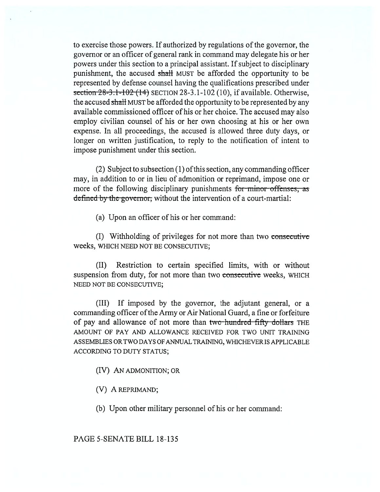to exercise those powers. If authorized by regulations of the governor, the governor or an officer of general rank in command may delegate his or her powers under this section to a principal assistant. If subject to disciplinary punishment, the accused shall MUST be afforded the opportunity to be represented by defense counsel having the qualifications prescribed under section  $28-3.1-102(14)$  SECTION 28-3.1-102 (10), if available. Otherwise, the accused shall MUST be afforded the opportunity to be represented by any available commissioned officer of his or her choice. The accused may also employ civilian counsel of his or her own choosing at his or her own expense. In all proceedings, the accused is allowed three duty days, or longer on written justification, to reply to the notification of intent to impose punishment under this section.

(2) Subject to subsection (1) of this section, any commanding officer may, in addition to or in lieu of admonition or reprimand, impose one or more of the following disciplinary punishments for minor offenses, as defined by the governor, without the intervention of a court-martial:

(a) Upon an officer of his or her command:

(I) Withholding of privileges for not more than two consecutive weeks, WHICH NEED NOT BE CONSECUTIVE;

(II) Restriction to certain specified limits, with or without suspension from duty, for not more than two consecutive weeks, WHICH NEED NOT BE CONSECUTIVE;

(III) If imposed by the governor, the adjutant general, or a commanding officer of the Army or Air National Guard, a fine or forfeiture of pay and allowance of not more than two hundred fifty dollars THE AMOUNT OF PAY AND ALLOWANCE RECEIVED FOR TWO UNIT TRAINING ASSEMBLIES OR TWO DAYS OF ANNUAL TRAINING, WHICHEVER IS APPLICABLE ACCORDING TO DUTY STATUS;

(IV) AN ADMONITION; OR

(V) A REPRIMAND;

(b) Upon other military personnel of his or her command:

PAGE 5-SENATE BILL 18-135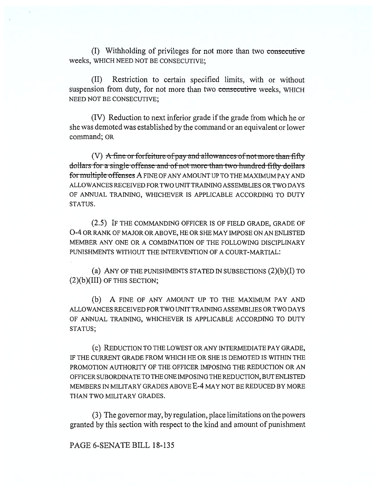(I) Withholding of privileges for not more than two consecutive weeks, WHICH NEED NOT BE CONSECUTIVE;

(II) Restriction to certain specified limits, with or without suspension from duty, for not more than two consecutive weeks, WHICH NEED NOT BE CONSECUTIVE;

(IV) Reduction to next inferior grade if the grade from which he or she was demoted was established by the command or an equivalent or lower command; OR

(V) A fine or forfeiture of pay and allowances of not more than fifty dollars-for-a-single-offense-and-of-not-more-than-two-hundred-fifty-dollars for multiple offenses A FINE OF ANY AMOUNT UP TO THE MAXIMUM PAY AND ALLOWANCES RECEIVED FOR TWO UNIT TRAINING ASSEMBLIES OR TWO DAYS OF ANNUAL TRAINING, WHICHEVER IS APPLICABLE ACCORDING TO DUTY STATUS.

(2.5) IF THE COMMANDING OFFICER IS OF FIELD GRADE, GRADE OF 0-4 OR RANK OF MAJOR OR ABOVE, HE OR SHE MAY IMPOSE ON AN ENLISTED MEMBER ANY ONE OR A COMBINATION OF THE FOLLOWING DISCIPLINARY PUNISHMENTS WITHOUT THE INTERVENTION OF A COURT-MARTIAL:

(a) ANY OF THE PUNISHMENTS STATED IN SUBSECTIONS **(2)(b)(I)** TO  $(2)(b)(III)$  OF THIS SECTION;

(b) A FINE OF ANY AMOUNT UP TO THE MAXIMUM PAY AND ALLOWANCES RECEIVED FOR TWO UNIT TRAINING ASSEMBLIES OR TWO DAYS OF ANNUAL TRAINING, WHICHEVER IS APPLICABLE ACCORDING TO DUTY STATUS;

(c) REDUCTION TO THE LOWEST OR ANY INTERMEDIATE PAY GRADE, IF THE CURRENT GRADE FROM WHICH HE OR SHE IS DEMOTED IS WITHIN THE PROMOTION AUTHORITY OF THE OFFICER IMPOSING THE REDUCTION OR AN OFFICER SUBORDINATE TO THE ONE IMPOSING THE REDUCTION, BUT ENLISTED MEMBERS IN MILITARY GRADES ABOVE **E-4** MAY NOT BE REDUCED BY MORE THAN TWO MILITARY GRADES.

(3) The governor may, by regulation, place limitations on the powers granted by this section with respect to the kind and amount of punishment

#### PAGE 6-SENATE BILL 18-135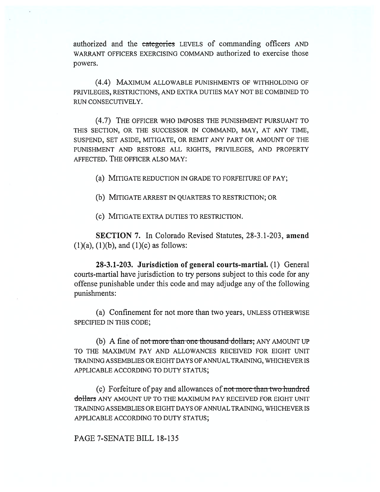authorized and the categories LEVELS of commanding officers AND WARRANT OFFICERS EXERCISING COMMAND authorized to exercise those powers.

(4.4) MAXIMUM ALLOWABLE PUNISHMENTS OF WITHHOLDING OF PRIVILEGES, RESTRICTIONS, AND EXTRA DUTIES MAY NOT BE COMBINED TO RUN CONSECUTIVELY.

(4.7) THE OFFICER WHO IMPOSES THE PUNISHMENT PURSUANT TO THIS SECTION, OR THE SUCCESSOR IN COMMAND, MAY, AT ANY TIME, SUSPEND, SET ASIDE, MITIGATE, OR REMIT ANY PART OR AMOUNT OF THE PUNISHMENT AND RESTORE ALL RIGHTS, PRIVILEGES, AND PROPERTY AFFECTED. THE OFFICER ALSO MAY:

(a) MITIGATE REDUCTION IN GRADE TO FORFEITURE OF PAY;

(b) MITIGATE ARREST IN QUARTERS TO RESTRICTION; OR

(c) MITIGATE EXTRA DUTIES TO RESTRICTION.

**SECTION 7.** In Colorado Revised Statutes, 28-3.1-203, **amend**   $(1)(a)$ ,  $(1)(b)$ , and  $(1)(c)$  as follows:

**28-3.1-203. Jurisdiction of general courts-martial.** (1) General courts-martial have jurisdiction to try persons subject to this code for any offense punishable under this code and may adjudge any of the following punishments:

(a) Confinement for not more than two years, UNLESS OTHERWISE SPECIFIED IN THIS CODE;

(b) A fine of not more than one thousand dollars; ANY AMOUNT UP TO THE MAXIMUM PAY AND ALLOWANCES RECEIVED FOR EIGHT UNIT TRAINING ASSEMBLIES OR EIGHT DAYS OF ANNUAL TRAINING, WHICHEVER IS APPLICABLE ACCORDING TO DUTY STATUS;

(c) Forfeiture of pay and allowances of not more than two hundred dollars ANY AMOUNT UP TO THE MAXIMUM PAY RECEIVED FOR EIGHT UNIT TRAINING ASSEMBLIES OR EIGHT DAYS OF ANNUAL TRAINING, WHICHEVER IS APPLICABLE ACCORDING TO DUTY STATUS;

#### PAGE 7-SENATE BILL 18-135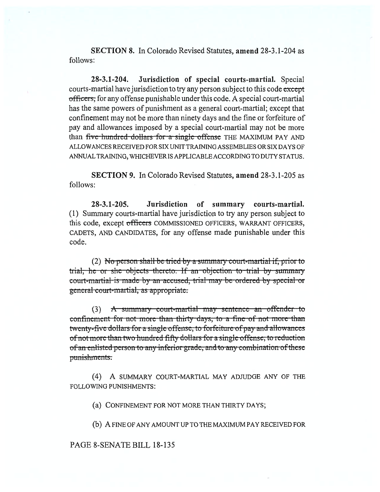SECTION 8. In Colorado Revised Statutes, amend 28-3.1-204 as follows:

28-3.1-204. Jurisdiction of special courts-martial. Special courts-martial have jurisdiction to try any person subject to this code except officers, for any offense punishable under this code. A special court-martial has the same powers of punishment as a general court-martial; except that confinement may not be more than ninety days and the fine or forfeiture of pay and allowances imposed by a special court-martial may not be more than five-hundred-dollars for a single offense THE MAXIMUM PAY AND ALLOWANCES RECEIVED FOR SIX UNIT TRAINING ASSEMBLIES OR SIX DAYS OF ANNUAL TRAINING, WHICHEVER IS APPLICABLE ACCORDING TO DUTY STATUS.

SECTION 9. In Colorado Revised Statutes, amend 28-3.1-205 as follows:

28-3.1-205. Jurisdiction of summary courts-martial. (1) Summary courts-martial have jurisdiction to try any person subject to this code, except officers COMMISSIONED OFFICERS, WARRANT OFFICERS, CADETS, AND CANDIDATES, for any offense made punishable under this code.

(2) No person-shall be tried by a summary court-martial if, prior to trial, he or she-objects-thereto. If an objection to trial by summary objects thereto. It an objection to trial by su<br>made by an accused, trial may be ordered by spe general court-martial, as appropriate.

(3) A summary court-martial may sentence an<br>ement for not more than thirty days, to a fine of no twenty-five dollars-for a single offense, to forfeiture of pay and allowances of not more than two hundred fifty dollars for a single offense, to reduction of an enlisted person to any inferior grade, and to any combination of these punishments.

(4) A SUMMARY COURT-MARTIAL MAY ADJUDGE ANY OF THE FOLLOWING PUNISHMENTS:

(a) CONFINEMENT FOR NOT MORE THAN THIRTY DAYS;

(b) A FINE OF ANY AMOUNT UP TO THE MAXIMUM PAY RECEIVED FOR

#### PAGE 8-SENATE BILL 18-135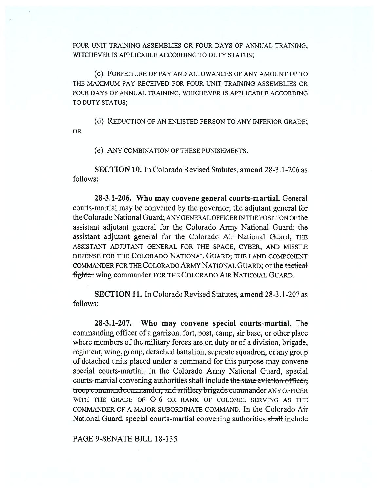FOUR UNIT TRAINING ASSEMBLIES OR FOUR DAYS OF ANNUAL TRAINING, WHICHEVER IS APPLICABLE ACCORDING TO DUTY STATUS;

(c) FORFEITURE OF PAY AND ALLOWANCES OF ANY AMOUNT UP TO THE MAXIMUM PAY RECEIVED FOR FOUR UNIT TRAINING ASSEMBLIES OR FOUR DAYS OF ANNUAL TRAINING, WHICHEVER IS APPLICABLE ACCORDING TO DUTY STATUS;

(d) REDUCTION OF AN ENLISTED PERSON TO ANY INFERIOR GRADE; OR

(e) ANY COMBINATION OF THESE PUNISHMENTS.

**SECTION 10.** In Colorado Revised Statutes, **amend** 28-3.1-206 as follows:

**28-3.1-206. Who may convene general courts-martial.** General courts-martial may be convened by the governor; the adjutant general for the Colorado National Guard; ANY GENERAL OFFICER IN THE POSITION OF the assistant adjutant general for the Colorado Army National Guard; the assistant adjutant general for the Colorado Air National Guard; THE ASSISTANT ADJUTANT GENERAL FOR THE SPACE, CYBER, AND MISSILE DEFENSE FOR THE COLORADO NATIONAL GUARD; THE LAND COMPONENT COMMANDER FOR THE COLORADO ARMY NATIONAL GUARD; or the tactical fighter wing commander FOR THE COLORADO AIR NATIONAL GUARD.

**SECTION 11.** In Colorado Revised Statutes, **amend** 28-3.1-207 as follows:

**28-3.1-207. Who may convene special courts-martial.** The commanding officer of a garrison, fort, post, camp, air base, or other place where members of the military forces are on duty or of a division, brigade, regiment, wing, group, detached battalion, separate squadron, or any group of detached units placed under a command for this purpose may convene special courts-martial. In the Colorado Army National Guard, special courts-martial convening authorities shall include the state aviation officer; troop command commander, and artillery brigade commander ANY OFFICER WITH THE GRADE OF  $O-6$  OR RANK OF COLONEL SERVING AS THE COMMANDER OF A MAJOR SUBORDINATE COMMAND. In the Colorado Air National Guard, special courts-martial convening authorities shall include

PAGE 9-SENATE BILL 18-135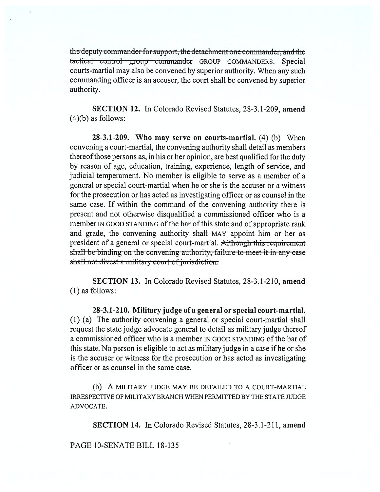the deputy commander for support, the detachment one commander, and the tactical control group commander GROUP COMMANDERS. Special courts-martial may also be convened by superior authority. When any such commanding officer is an accuser, the court shall be convened by superior authority.

**SECTION 12.** In Colorado Revised Statutes, 28-3.1-209, **amend**   $(4)(b)$  as follows:

**28-3.1-209. Who may serve on courts-martial. (4) (b)** When convening a court-martial, the convening authority shall detail as members thereof those persons as, in his or her opinion, are best qualified for the duty by reason of age, education, training, experience, length of service, and judicial temperament. No member is eligible to serve as a member of a general or special court-martial when he or she is the accuser or a witness for the prosecution or has acted as investigating officer or as counsel in the same case. If within the command of the convening authority there is present and not otherwise disqualified a commissioned officer who is a member IN GOOD STANDING of the bar of this state and of appropriate rank and grade, the convening authority shall MAY appoint him or her as president of a general or special court-martial. Although this requirement shall be binding on the convening authority, failure to meet it in any case shall not divest a military court of jurisdiction.

**SECTION 13. In Colorado Revised** Statutes, 28-3.1-210, **amend (1)** as follows:

**28-3.1-210. Military judge of a general or special court-martial. (1)** (a) The authority convening a general or special court-martial shall request the state judge advocate general to detail as military judge thereof a commissioned officer who is a member IN GOOD STANDING of the bar of this state. No person is eligible to act as military judge in a case if he or she is the accuser or witness for the prosecution or has acted as investigating officer or as counsel in the same case.

(b) A MILITARY JUDGE MAY BE DETAILED TO A COURT-MARTIAL IRRESPECTIVE OF MILITARY BRANCH WHEN PERMITTED BY THE STATE JUDGE ADVOCATE.

**SECTION 14. In Colorado Revised** Statutes, 28-3.1-211, **amend** 

**PAGE** 10-SENATE BILL 18-135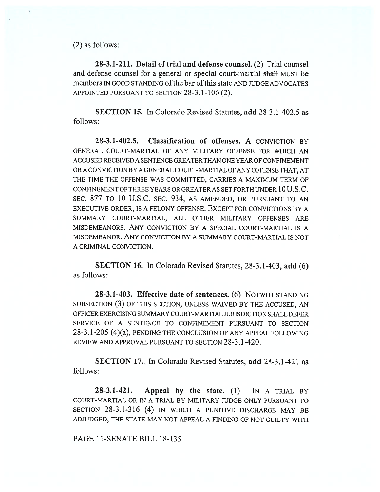(2) as follows:

**28-3.1-211. Detail of trial and defense counsel.** (2) Trial counsel and defense counsel for a general or special court-martial shall MUST be members IN GOOD STANDING of the bar of this state AND JUDGE ADVOCATES APPOINTED PURSUANT TO SECTION 28-3.1-106 (2).

**SECTION 15.** In Colorado Revised Statutes, **add** 28-3.1-402.5 as follows:

**28-3.1-402.5. Classification of offenses.** A CONVICTION BY GENERAL COURT-MARTIAL OF ANY MILITARY OFFENSE FOR WHICH AN ACCUSED RECEIVED A SENTENCE GREATER THAN ONE YEAR OF CONFINEMENT OR A CONVICTION BY A GENERAL COURT-MARTIAL OF ANY OFFENSE THAT, AT THE TIME THE OFFENSE WAS COMMITTED, CARRIES A MAXIMUM TERM OF CONFINEMENT OF THREE YEARS OR GREATER AS SET FORTH UNDER 10 U.S.C. SEC. 877 TO 10 U.S.C. SEC. 934, AS AMENDED, OR PURSUANT TO AN EXECUTIVE ORDER, IS A FELONY OFFENSE. EXCEPT FOR CONVICTIONS BY A SUMMARY COURT-MARTIAL, ALL OTHER MILITARY OFFENSES ARE MISDEMEANORS. ANY CONVICTION BY A SPECIAL COURT-MARTIAL IS A MISDEMEANOR. ANY CONVICTION BY A SUMMARY COURT-MARTIAL IS NOT A CRIMINAL CONVICTION.

**SECTION 16.** In Colorado Revised Statutes, 28-3.1-403, **add** (6) as follows:

**28-3.1-403. Effective date of sentences.** (6) NOTWITHSTANDING SUBSECTION (3) OF THIS SECTION, UNLESS WAIVED BY THE ACCUSED, AN OFFICER EXERCISING SUMMARY COURT-MARTIAL JURISDICTION SHALL DEFER SERVICE OF A SENTENCE TO CONFINEMENT PURSUANT TO SECTION 28-3.1-205 (4)(a), PENDING THE CONCLUSION OF ANY APPEAL FOLLOWING REVIEW AND APPROVAL PURSUANT TO SECTION 28-3.1-420.

**SECTION 17.** In Colorado Revised Statutes, **add** 28-3.1-421 as follows:

**28-3.1-421. Appeal by the state.** (1) IN A TRIAL BY COURT-MARTIAL OR IN A TRIAL BY MILITARY JUDGE ONLY PURSUANT TO SECTION 28-3.1-316 (4) IN WHICH A PUNITIVE DISCHARGE MAY BE ADJUDGED, THE STATE MAY NOT APPEAL A FINDING OF NOT GUILTY WITH

PAGE 11-SENATE BILL 18-135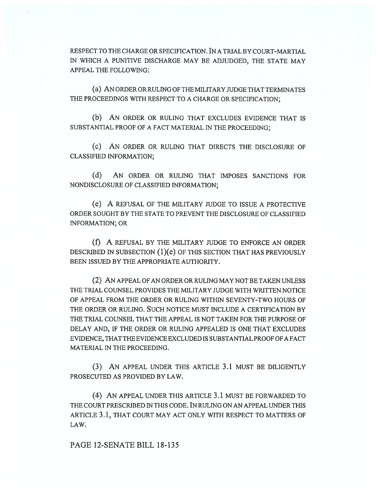RESPECT TO THE CHARGE OR SPECIFICATION. IN A TRIAL BY COURT-MARTIAL IN WHICH A PUNITIVE DISCHARGE MAY BE ADJUDGED, THE STATE MAY APPEAL THE FOLLOWING:

(a) AN ORDER OR RULING OF THE MILITARY JUDGE THAT TERMINATES THE PROCEEDINGS WITH RESPECT TO A CHARGE OR SPECIFICATION;

(b) AN ORDER OR RULING THAT EXCLUDES EVIDENCE THAT IS SUBSTANTIAL PROOF OF A FACT MATERIAL IN THE PROCEEDING;

(c) AN ORDER OR RULING THAT DIRECTS THE DISCLOSURE OF CLASSIFIED INFORMATION;

(d) AN ORDER OR RULING THAT IMPOSES SANCTIONS FOR NONDISCLOSURE OF CLASSIFIED INFORMATION;

(e) A REFUSAL OF THE MILITARY JUDGE TO ISSUE A PROTECTIVE ORDER SOUGHT BY THE STATE TO PREVENT THE DISCLOSURE OF CLASSIFIED INFORMATION; OR

(f) A REFUSAL BY THE MILITARY JUDGE TO ENFORCE AN ORDER DESCRIBED IN SUBSECTION (1)(e) OF THIS SECTION THAT HAS PREVIOUSLY BEEN ISSUED BY THE APPROPRIATE AUTHORITY.

(2) AN APPEAL OF AN ORDER OR RULING MAY NOT BE TAKEN UNLESS THE TRIAL COUNSEL PROVIDES THE MILITARY JUDGE WITH WRITTEN NOTICE OF APPEAL FROM THE ORDER OR RULING WITHIN SEVENTY-TWO HOURS OF THE ORDER OR RULING. SUCH NOTICE MUST INCLUDE A CERTIFICATION BY THE TRIAL COUNSEL THAT THE APPEAL IS NOT TAKEN FOR THE PURPOSE OF DELAY AND, IF THE ORDER OR RULING APPEALED IS ONE THAT EXCLUDES EVIDENCE, THAT THE EVIDENCE EXCLUDED IS SUBSTANTIAL PROOF OF A FACT MATERIAL IN THE PROCEEDING.

(3) AN APPEAL UNDER THIS ARTICLE 3.1 MUST BE DILIGENTLY PROSECUTED AS PROVIDED BY LAW.

(4) AN APPEAL UNDER THIS ARTICLE 3.1 MUST BE FORWARDED TO THE COURT PRESCRIBED IN THIS CODE. IN RULING ON AN APPEAL UNDER THIS ARTICLE 3.1, THAT COURT MAY ACT ONLY WITH RESPECT TO MATTERS OF LAW.

### PAGE 12-SENATE BILL 18-135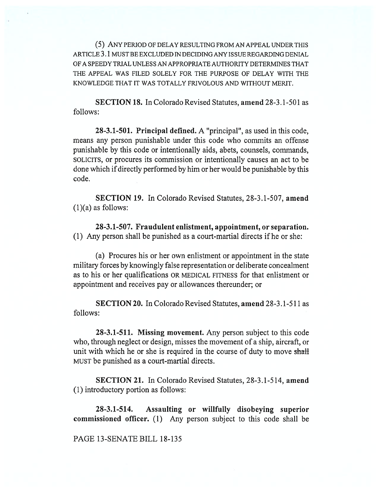(5) ANY PERIOD OF DELAY RESULTING FROM AN APPEAL UNDER THIS ARTICLE 3.1 MUST BE EXCLUDED IN DECIDING ANY ISSUE REGARDING DENIAL OF A SPEEDY TRIAL UNLESS AN APPROPRIATE AUTHORITY DETERMINES THAT THE APPEAL WAS FILED SOLELY FOR THE PURPOSE OF DELAY WITH THE KNOWLEDGE THAT IT WAS TOTALLY FRIVOLOUS AND WITHOUT MERIT.

**SECTION 18.** In Colorado Revised Statutes, **amend** 28-3.1-501 as follows:

**28-3.1-501. Principal defined.** A "principal", as used in this code, means any person punishable under this code who commits an offense punishable by this code or intentionally aids, abets, counsels, commands, SOLICITS, or procures its commission or intentionally causes an act to be done which if directly performed by him or her would be punishable by this code.

**SECTION 19.** In Colorado Revised Statutes, 28-3.1-507, **amend**   $(1)(a)$  as follows:

**28-3.1-507. Fraudulent enlistment, appointment, or separation.**  (1) Any person shall be punished as a court-martial directs if he or she:

(a) Procures his or her own enlistment or appointment in the state military forces by knowingly false representation or deliberate concealment as to his or her qualifications OR MEDICAL FITNESS for that enlistment or appointment and receives pay or allowances thereunder; or

**SECTION 20.** In Colorado Revised Statutes, **amend** 28-3.1-511 as follows:

**28-3.1-511. Missing movement.** Any person subject to this code who, through neglect or design, misses the movement of a ship, aircraft, or unit with which he or she is required in the course of duty to move shall MUST be punished as a court-martial directs.

**SECTION 21.** In Colorado Revised Statutes, 28-3.1-514, **amend**  (1) introductory portion as follows:

**28-3.1-514. Assaulting or willfully disobeying superior commissioned officer.** (1) Any person subject to this code shall be

PAGE 13-SENATE BILL 18-135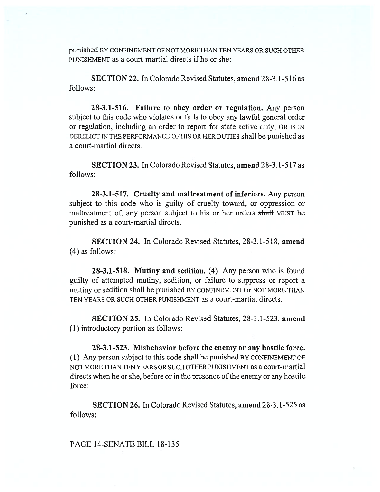punished BY CONFINEMENT OF NOT MORE THAN TEN YEARS OR SUCH OTHER PUNISHMENT as a court-martial directs if he or she:

SECTION 22. In Colorado Revised Statutes, amend 28-3.1-516 as follows:

**28-3.1-516. Failure to obey order or regulation.** Any person subject to this code who violates or fails to obey any lawful general order or regulation, including an order to report for state active duty, OR IS IN DERELICT IN THE PERFORMANCE OF HIS OR HER DUTIES shall be punished as a court-martial directs.

**SECTION 23.** In Colorado Revised Statutes, **amend** 28-3.1-517 as follows:

**28-3.1-517. Cruelty and maltreatment of inferiors.** Any person subject to this code who is guilty of cruelty toward, or oppression or maltreatment of, any person subject to his or her orders shall MUST be punished as a court-martial directs.

**SECTION 24.** In Colorado Revised Statutes, 28-3.1-518, **amend**  (4) as follows:

**28-3.1-518. Mutiny and sedition.** (4) Any person who is found guilty of attempted mutiny, sedition, or failure to suppress or report a mutiny or sedition shall be punished BY CONFINEMENT OF NOT MORE THAN TEN YEARS OR SUCH OTHER PUNISHMENT as a court-martial directs.

**SECTION 25.** In Colorado Revised Statutes, 28-3.1-523, **amend**  (1) introductory portion as follows:

**28-3.1-523. Misbehavior before the enemy or any hostile force.**  (1) Any person subject to this code shall be punished BY CONFINEMENT OF NOT MORE THAN TEN YEARS OR SUCH OTHER PUNISHMENT as a court-martial directs when he or she, before or in the presence of the enemy or any hostile force:

**SECTION 26.** In Colorado Revised Statutes, **amend** 28-3.1-525 as follows:

## PAGE 14-SENATE BILL 18-135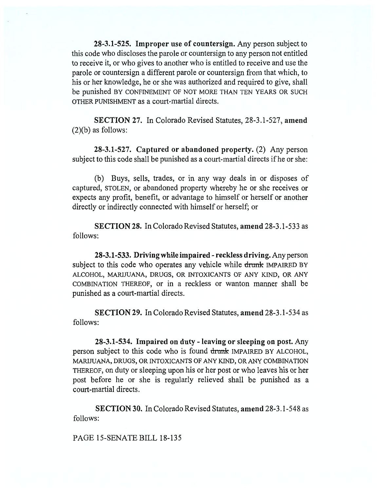**28-3.1-525. Improper use of countersign.** Any person subject to this code who discloses the parole or countersign to any person not entitled to receive it, or who gives to another who is entitled to receive and use the parole or countersign a different parole or countersign from that which, to his or her knowledge, he or she was authorized and required to give, shall be punished BY CONFINEMENT OF NOT MORE THAN TEN YEARS OR SUCH OTHER PUNISHMENT as a court-martial directs.

**SECTION 27.** In Colorado Revised Statutes, 28-3.1-527, **amend**   $(2)(b)$  as follows:

**28-3.1-527. Captured or abandoned property.** (2) Any person subject to this code shall be punished as a court-martial directs if he or she:

(b) Buys, sells, trades, or in any way deals in or disposes of captured, STOLEN, or abandoned property whereby he or she receives or expects any profit, benefit, or advantage to himself or herself or another directly or indirectly connected with himself or herself; or

**SECTION 28.** In Colorado Revised Statutes, **amend** 28-3.1-533 as follows:

**28-3.1-533. Driving while impaired - reckless driving.** Any person subject to this code who operates any vehicle while **drunk** IMPAIRED BY ALCOHOL, MARIJUANA, DRUGS, OR INTOXICANTS OF ANY KIND, OR ANY COMBINATION THEREOF, or in a reckless or wanton manner shall be punished as a court-martial directs.

**SECTION 29.** In Colorado Revised Statutes, **amend** 28-3.1-534 as follows:

**28-3.1-534. Impaired on duty - leaving or sleeping on post.** Any person subject to this code who is found drunk IMPAIRED BY ALCOHOL, MARIJUANA, DRUGS, OR INTOXICANTS OF ANY KIND, OR ANY COMBINATION THEREOF, on duty or sleeping upon his or her post or who leaves his or her post before he or she is regularly relieved shall be punished as a court-martial directs.

**SECTION 30.** In Colorado Revised Statutes, **amend** 28-3.1-548 as follows:

PAGE 15-SENATE BILL 18-135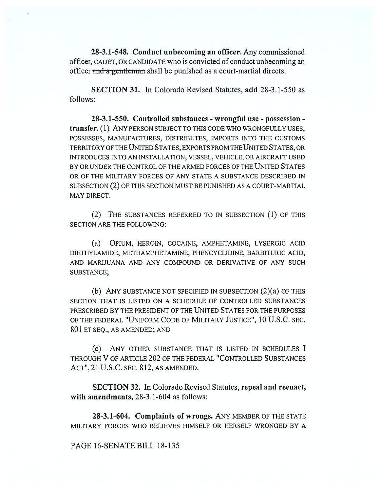**28-3.1-548. Conduct unbecoming an officer.** Any commissioned officer, CADET, OR CANDIDATE who is convicted of conduct unbecoming an officer and a gentleman shall be punished as a court-martial directs.

**SECTION 31.** In Colorado Revised Statutes, **add** 28-3.1-550 as follows:

**28-3.1-550. Controlled substances - wrongful use - possession transfer. (1)** ANY PERSON SUBJECT TO THIS CODE WHO WRONGFULLY USES, POSSESSES, MANUFACTURES, DISTRIBUTES, IMPORTS INTO THE CUSTOMS TERRITORY OF THE UNITED STATES, EXPORTS FROM THE UNITED STATES, OR INTRODUCES INTO AN INSTALLATION, VESSEL, VEHICLE, OR AIRCRAFT USED BY OR UNDER THE CONTROL OF THE ARMED FORCES OF THE UNITED STATES OR OF THE MILITARY FORCES OF ANY STATE A SUBSTANCE DESCRIBED IN SUBSECTION (2) OF THIS SECTION MUST BE PUNISHED AS A COURT-MARTIAL MAY DIRECT.

(2) THE SUBSTANCES REFERRED TO IN SUBSECTION (1) OF THIS SECTION ARE THE FOLLOWING:

(a) OPIUM, HEROIN, COCAINE, AMPHETAMINE, LYSERGIC ACID DIETHYLAMIDE, METHAMPHETAMINE, PHENCYCLIDINE, BARBITURIC ACID, AND MARIJUANA AND ANY COMPOUND OR DERIVATIVE OF ANY SUCH SUBSTANCE;

(b) ANY SUBSTANCE NOT SPECIFIED IN SUBSECTION (2)(a) OF THIS SECTION THAT IS LISTED ON A SCHEDULE OF CONTROLLED SUBSTANCES PRESCRIBED BY THE PRESIDENT OF THE UNITED STATES FOR THE PURPOSES OF THE FEDERAL "UNIFORM CODE OF MILITARY JUSTICE", 10 U.S.C. SEC. 801 ET SEQ., AS AMENDED; AND

(c) ANY OTHER SUBSTANCE THAT IS LISTED IN SCHEDULES I THROUGH V OF ARTICLE 202 OF THE FEDERAL "CONTROLLED SUBSTANCES ACT", 21 U.S.C. SEC. 812, AS AMENDED.

**SECTION 32.** In Colorado Revised Statutes, **repeal and reenact, with amendments,** 28-3.1-604 as follows:

**28-3.1-604. Complaints of wrongs.** ANY MEMBER OF THE STATE MILITARY FORCES WHO BELIEVES HIMSELF OR HERSELF WRONGED BY A

PAGE 16-SENATE BILL 18-135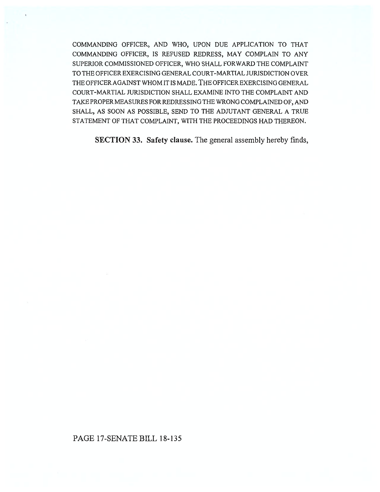COMMANDING OFFICER, AND WHO, UPON DUE APPLICATION TO THAT COMMANDING OFFICER, IS REFUSED REDRESS, MAY COMPLAIN TO ANY SUPERIOR COMMISSIONED OFFICER, WHO SHALL FORWARD THE COMPLAINT TO THE OFFICER EXERCISING GENERAL COURT-MARTIAL JURISDICTION OVER THE OFFICER AGAINST WHOM IT IS MADE. THE OFFICER EXERCISING GENERAL COURT-MARTIAL JURISDICTION SHALL EXAMINE INTO THE COMPLAINT AND TAKE PROPER MEASURES FOR REDRESSING THE WRONG COMPLAINED OF, AND SHALL, AS SOON AS POSSIBLE, SEND TO THE ADJUTANT GENERAL A TRUE STATEMENT **OF THAT COMPLAINT, WITH THE PROCEEDINGS HAD THEREON.** 

SECTION 33. Safety clause. The general assembly hereby finds,

# PAGE 17-SENATE BILL 18-135